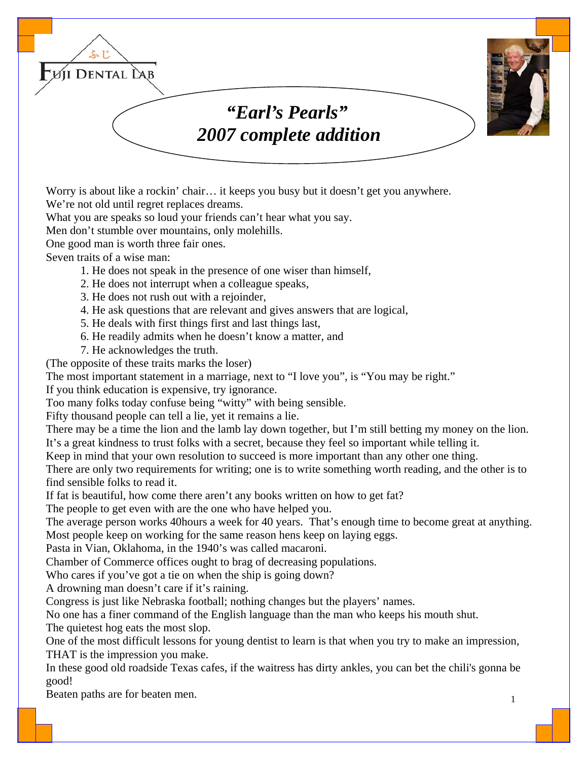

Worry is about like a rockin' chair... it keeps you busy but it doesn't get you anywhere. We're not old until regret replaces dreams.

What you are speaks so loud your friends can't hear what you say.

Men don't stumble over mountains, only molehills.

One good man is worth three fair ones.

Seven traits of a wise man:

- 1. He does not speak in the presence of one wiser than himself,
- 2. He does not interrupt when a colleague speaks,
- 3. He does not rush out with a rejoinder,
- 4. He ask questions that are relevant and gives answers that are logical,
- 5. He deals with first things first and last things last,
- 6. He readily admits when he doesn't know a matter, and
- 7. He acknowledges the truth.

(The opposite of these traits marks the loser)

The most important statement in a marriage, next to "I love you", is "You may be right."

If you think education is expensive, try ignorance.

Too many folks today confuse being "witty" with being sensible.

Fifty thousand people can tell a lie, yet it remains a lie.

There may be a time the lion and the lamb lay down together, but I'm still betting my money on the lion. It's a great kindness to trust folks with a secret, because they feel so important while telling it.

Keep in mind that your own resolution to succeed is more important than any other one thing.

There are only two requirements for writing; one is to write something worth reading, and the other is to find sensible folks to read it.

If fat is beautiful, how come there aren't any books written on how to get fat?

The people to get even with are the one who have helped you.

The average person works 40hours a week for 40 years. That's enough time to become great at anything. Most people keep on working for the same reason hens keep on laying eggs.

Pasta in Vian, Oklahoma, in the 1940's was called macaroni.

Chamber of Commerce offices ought to brag of decreasing populations.

Who cares if you've got a tie on when the ship is going down?

A drowning man doesn't care if it's raining.

Congress is just like Nebraska football; nothing changes but the players' names.

No one has a finer command of the English language than the man who keeps his mouth shut. The quietest hog eats the most slop.

One of the most difficult lessons for young dentist to learn is that when you try to make an impression, THAT is the impression you make.

In these good old roadside Texas cafes, if the waitress has dirty ankles, you can bet the chili's gonna be good!

Beaten paths are for beaten men.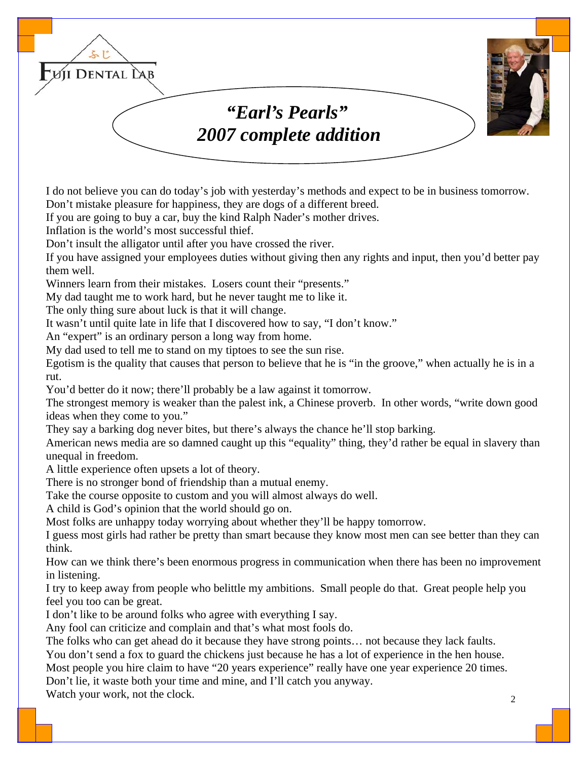

I do not believe you can do today's job with yesterday's methods and expect to be in business tomorrow. Don't mistake pleasure for happiness, they are dogs of a different breed.

If you are going to buy a car, buy the kind Ralph Nader's mother drives.

Inflation is the world's most successful thief.

Don't insult the alligator until after you have crossed the river.

If you have assigned your employees duties without giving then any rights and input, then you'd better pay them well.

Winners learn from their mistakes. Losers count their "presents."

My dad taught me to work hard, but he never taught me to like it.

The only thing sure about luck is that it will change.

It wasn't until quite late in life that I discovered how to say, "I don't know."

An "expert" is an ordinary person a long way from home.

My dad used to tell me to stand on my tiptoes to see the sun rise.

Egotism is the quality that causes that person to believe that he is "in the groove," when actually he is in a rut.

You'd better do it now; there'll probably be a law against it tomorrow.

The strongest memory is weaker than the palest ink, a Chinese proverb. In other words, "write down good ideas when they come to you."

They say a barking dog never bites, but there's always the chance he'll stop barking.

American news media are so damned caught up this "equality" thing, they'd rather be equal in slavery than unequal in freedom.

A little experience often upsets a lot of theory.

There is no stronger bond of friendship than a mutual enemy.

Take the course opposite to custom and you will almost always do well.

A child is God's opinion that the world should go on.

Most folks are unhappy today worrying about whether they'll be happy tomorrow.

I guess most girls had rather be pretty than smart because they know most men can see better than they can think.

How can we think there's been enormous progress in communication when there has been no improvement in listening.

I try to keep away from people who belittle my ambitions. Small people do that. Great people help you feel you too can be great.

I don't like to be around folks who agree with everything I say.

Any fool can criticize and complain and that's what most fools do.

The folks who can get ahead do it because they have strong points… not because they lack faults.

You don't send a fox to guard the chickens just because he has a lot of experience in the hen house.

Most people you hire claim to have "20 years experience" really have one year experience 20 times.

Don't lie, it waste both your time and mine, and I'll catch you anyway.

Watch your work, not the clock.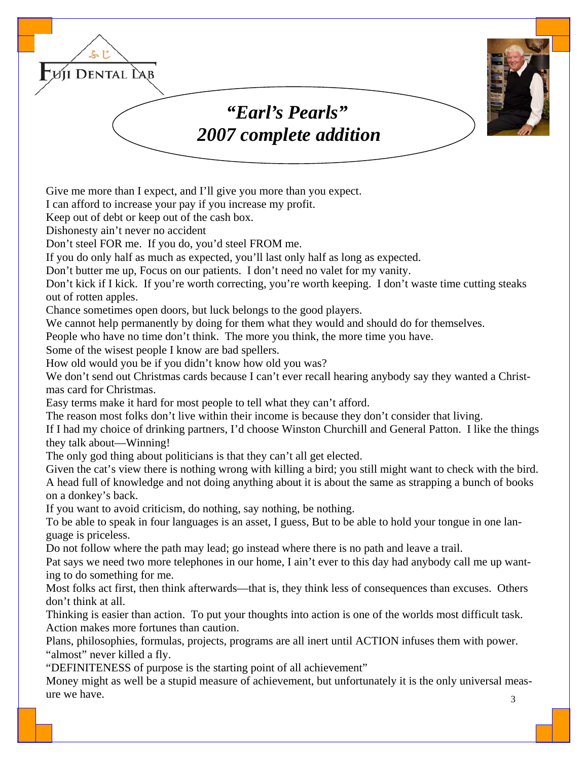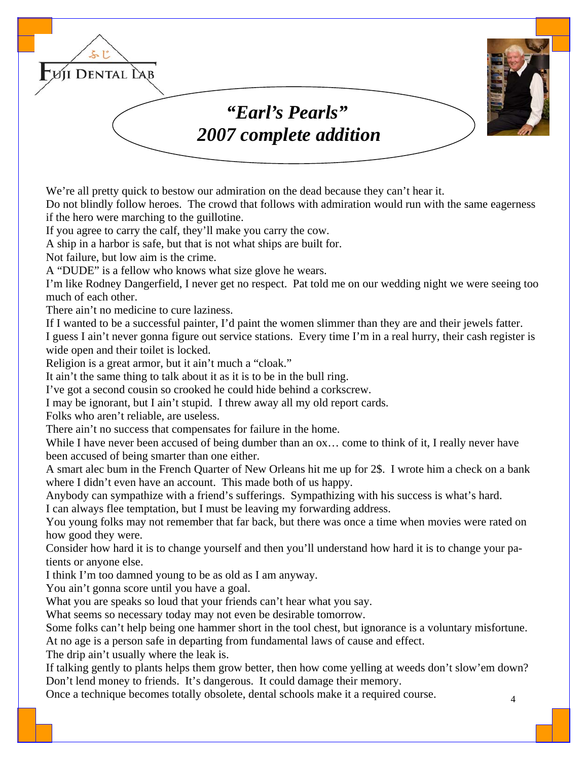

We're all pretty quick to bestow our admiration on the dead because they can't hear it.

Do not blindly follow heroes. The crowd that follows with admiration would run with the same eagerness if the hero were marching to the guillotine.

If you agree to carry the calf, they'll make you carry the cow.

A ship in a harbor is safe, but that is not what ships are built for.

Not failure, but low aim is the crime.

A "DUDE" is a fellow who knows what size glove he wears.

I'm like Rodney Dangerfield, I never get no respect. Pat told me on our wedding night we were seeing too much of each other.

There ain't no medicine to cure laziness.

If I wanted to be a successful painter, I'd paint the women slimmer than they are and their jewels fatter.

I guess I ain't never gonna figure out service stations. Every time I'm in a real hurry, their cash register is wide open and their toilet is locked.

Religion is a great armor, but it ain't much a "cloak."

It ain't the same thing to talk about it as it is to be in the bull ring.

I've got a second cousin so crooked he could hide behind a corkscrew.

I may be ignorant, but I ain't stupid. I threw away all my old report cards.

Folks who aren't reliable, are useless.

There ain't no success that compensates for failure in the home.

While I have never been accused of being dumber than an ox... come to think of it, I really never have been accused of being smarter than one either.

A smart alec bum in the French Quarter of New Orleans hit me up for 2\$. I wrote him a check on a bank where I didn't even have an account. This made both of us happy.

Anybody can sympathize with a friend's sufferings. Sympathizing with his success is what's hard. I can always flee temptation, but I must be leaving my forwarding address.

You young folks may not remember that far back, but there was once a time when movies were rated on how good they were.

Consider how hard it is to change yourself and then you'll understand how hard it is to change your patients or anyone else.

I think I'm too damned young to be as old as I am anyway.

You ain't gonna score until you have a goal.

What you are speaks so loud that your friends can't hear what you say.

What seems so necessary today may not even be desirable tomorrow.

Some folks can't help being one hammer short in the tool chest, but ignorance is a voluntary misfortune.

At no age is a person safe in departing from fundamental laws of cause and effect.

The drip ain't usually where the leak is.

If talking gently to plants helps them grow better, then how come yelling at weeds don't slow'em down? Don't lend money to friends. It's dangerous. It could damage their memory.

Once a technique becomes totally obsolete, dental schools make it a required course.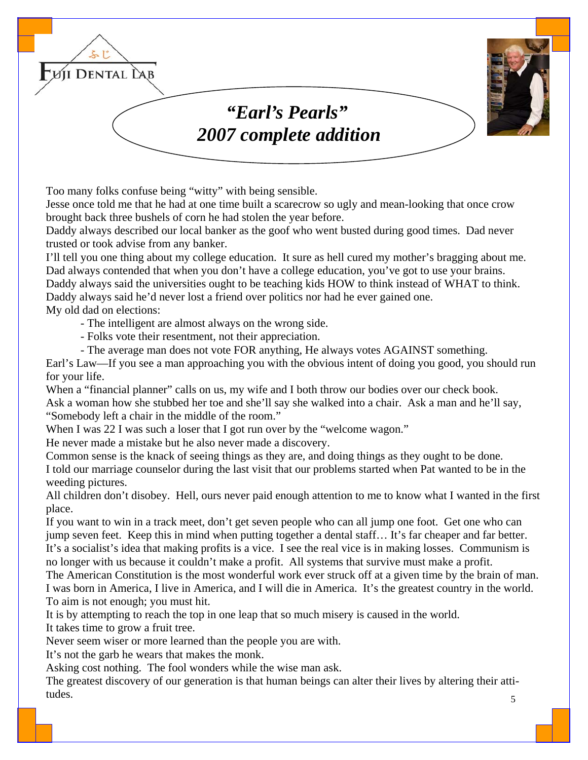

Too many folks confuse being "witty" with being sensible.

Jesse once told me that he had at one time built a scarecrow so ugly and mean-looking that once crow brought back three bushels of corn he had stolen the year before.

Daddy always described our local banker as the goof who went busted during good times. Dad never trusted or took advise from any banker.

I'll tell you one thing about my college education. It sure as hell cured my mother's bragging about me. Dad always contended that when you don't have a college education, you've got to use your brains.

Daddy always said the universities ought to be teaching kids HOW to think instead of WHAT to think. Daddy always said he'd never lost a friend over politics nor had he ever gained one.

My old dad on elections:

- The intelligent are almost always on the wrong side.

- Folks vote their resentment, not their appreciation.

- The average man does not vote FOR anything, He always votes AGAINST something.

Earl's Law—If you see a man approaching you with the obvious intent of doing you good, you should run for your life.

When a "financial planner" calls on us, my wife and I both throw our bodies over our check book. Ask a woman how she stubbed her toe and she'll say she walked into a chair. Ask a man and he'll say, "Somebody left a chair in the middle of the room."

When I was 22 I was such a loser that I got run over by the "welcome wagon."

He never made a mistake but he also never made a discovery.

Common sense is the knack of seeing things as they are, and doing things as they ought to be done. I told our marriage counselor during the last visit that our problems started when Pat wanted to be in the weeding pictures.

All children don't disobey. Hell, ours never paid enough attention to me to know what I wanted in the first place.

If you want to win in a track meet, don't get seven people who can all jump one foot. Get one who can jump seven feet. Keep this in mind when putting together a dental staff… It's far cheaper and far better. It's a socialist's idea that making profits is a vice. I see the real vice is in making losses. Communism is no longer with us because it couldn't make a profit. All systems that survive must make a profit.

The American Constitution is the most wonderful work ever struck off at a given time by the brain of man. I was born in America, I live in America, and I will die in America. It's the greatest country in the world. To aim is not enough; you must hit.

It is by attempting to reach the top in one leap that so much misery is caused in the world.

It takes time to grow a fruit tree.

Never seem wiser or more learned than the people you are with.

It's not the garb he wears that makes the monk.

Asking cost nothing. The fool wonders while the wise man ask.

 5 The greatest discovery of our generation is that human beings can alter their lives by altering their attitudes.